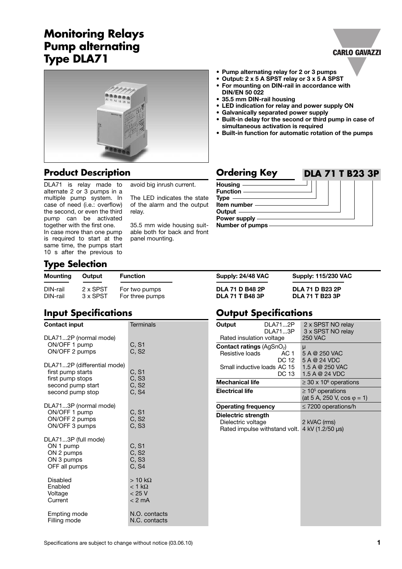# **Monitoring Relays Pump alternating Type DLA71**



### **Product Description Discription Ordering Key**

DLA71 is relay made to alternate 2 or 3 pumps in a multiple pump system. In case of need (i.e.: overflow) the second, or even the third pump can be activated together with the first one. In case more than one pump is required to start at the same time, the pumps start 10 s after the previous to

avoid big inrush current.

The LED indicates the state of the alarm and the output relay.

35.5 mm wide housing suitable both for back and front panel mounting.

|  |  |  |  | • Pump alternating relay for 2 or 3 pumps |  |  |  |  |
|--|--|--|--|-------------------------------------------|--|--|--|--|
|  |  |  |  |                                           |  |  |  |  |

- **Output: 2 x 5 A SPST relay or 3 x 5 A SPST**
- **For mounting on DIN-rail in accordance with DIN/EN 50 022**
- **• 35.5 mm DIN-rail housing**
- **• LED indication for relay and power supply ON**
- **Galvanically separated power supply**
- **Built-in delay for the second or third pump in case of simultaneous activation is required**

**CARLO GAVAZZI** 

**• Built-in function for automatic rotation of the pumps**



**Supply: 24/48 VAC Supply: 115/230 VAC** 

DIN-rail 2 x SPST For two pumps **DLA 71 D B48 2P DLA 71 D B23 2P**

# **Type Selection**

| <b>Mounting</b> | Output   | <b>Function</b> |
|-----------------|----------|-----------------|
| DIN-rail        | 2 x SPST | For two pumps   |
| DIN-rail        | 3 x SPST | For three pumps |

# **Input Specifications**

| <b>Contact input</b>                                                                                          | <b>Terminals</b>                                                |  |  |  |  |
|---------------------------------------------------------------------------------------------------------------|-----------------------------------------------------------------|--|--|--|--|
| DLA712P (normal mode)<br>ON/OFF 1 pump<br>ON/OFF 2 pumps                                                      | C, S1<br>C, S2                                                  |  |  |  |  |
| DLA712P (differential mode)<br>first pump starts<br>first pump stops<br>second pump start<br>second pump stop | C, S1<br>C, S3<br>C, S <sub>2</sub><br>C. S4                    |  |  |  |  |
| DLA713P (normal mode)<br>ON/OFF 1 pump<br>ON/OFF 2 pumps<br>ON/OFF 3 pumps                                    | C, S1<br>C, S <sub>2</sub><br>C, S3                             |  |  |  |  |
| DLA713P (full mode)<br>ON 1 pump<br>ON 2 pumps<br>ON 3 pumps<br>OFF all pumps                                 | C, S1<br>C, S2<br>C, S3<br>C, S4                                |  |  |  |  |
| Disabled<br>Enabled<br>Voltage<br>Current                                                                     | $>10 \text{ k}\Omega$<br>$<$ 1 k $\Omega$<br>< 25 V<br>$<$ 2 mA |  |  |  |  |
| Empting mode<br>Filling mode                                                                                  | N.O. contacts<br>N.C. contacts                                  |  |  |  |  |

### **Output Specifications**

DIN-rail 3 x SPST For three pumps **DLA 71 T B48 3P DLA 71 T B23 3P**

| Output                                     | DLA712P<br>DLA713P | 2 x SPST NO relay<br>3 x SPST NO relay |  |  |  |  |
|--------------------------------------------|--------------------|----------------------------------------|--|--|--|--|
| Rated insulation voltage                   |                    | 250 VAC                                |  |  |  |  |
| <b>Contact ratings (AgSnO<sub>2</sub>)</b> |                    | μ                                      |  |  |  |  |
| Resistive loads                            | AC 1               | 5 A @ 250 VAC                          |  |  |  |  |
|                                            | DC 12              | 5 A @ 24 VDC                           |  |  |  |  |
| Small inductive loads AC 15                |                    | 1.5 A @ 250 VAC                        |  |  |  |  |
|                                            | DC 13              | 1.5 A @ 24 VDC                         |  |  |  |  |
| <b>Mechanical life</b>                     |                    | $\geq$ 30 x 10 <sup>6</sup> operations |  |  |  |  |
| <b>Electrical life</b>                     |                    | $\geq 10^5$ operations                 |  |  |  |  |
|                                            |                    | (at 5 A, 250 V, cos $\varphi$ = 1)     |  |  |  |  |
| <b>Operating frequency</b>                 |                    | $\leq$ 7200 operations/h               |  |  |  |  |
| Dielectric strength                        |                    |                                        |  |  |  |  |
| Dielectric voltage                         |                    | 2 kVAC (rms)                           |  |  |  |  |
| Rated impulse withstand volt.              |                    | 4 kV (1.2/50 µs)                       |  |  |  |  |
|                                            |                    |                                        |  |  |  |  |
|                                            |                    |                                        |  |  |  |  |
|                                            |                    |                                        |  |  |  |  |
|                                            |                    |                                        |  |  |  |  |
|                                            |                    |                                        |  |  |  |  |
|                                            |                    |                                        |  |  |  |  |
|                                            |                    |                                        |  |  |  |  |
|                                            |                    |                                        |  |  |  |  |
|                                            |                    |                                        |  |  |  |  |
|                                            |                    |                                        |  |  |  |  |
|                                            |                    |                                        |  |  |  |  |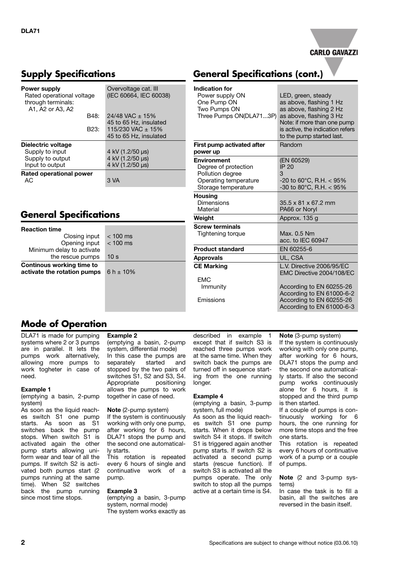

### **Supply Specifications**

| Power supply<br>Rated operational voltage<br>through terminals:<br>A1, A2 or A3, A2 | Overvoltage cat. III<br>(IEC 60664, IEC 60038) |  |  |  |  |
|-------------------------------------------------------------------------------------|------------------------------------------------|--|--|--|--|
| B48:                                                                                | $24/48$ VAC $\pm$ 15%                          |  |  |  |  |
|                                                                                     | 45 to 65 Hz, insulated                         |  |  |  |  |
| B23:                                                                                | 115/230 VAC $\pm$ 15%                          |  |  |  |  |
|                                                                                     | 45 to 65 Hz, insulated                         |  |  |  |  |
| Dielectric voltage                                                                  |                                                |  |  |  |  |
| Supply to input                                                                     | 4 kV (1.2/50 µs)                               |  |  |  |  |
| Supply to output                                                                    | 4 kV (1.2/50 µs)                               |  |  |  |  |
| Input to output                                                                     | 4 kV (1.2/50 µs)                               |  |  |  |  |
| Rated operational power                                                             |                                                |  |  |  |  |
| AC.                                                                                 | 3 VA                                           |  |  |  |  |

### **General Specifications**

| <b>Reaction time</b>                                            |                 |
|-----------------------------------------------------------------|-----------------|
| Closing input                                                   | $< 100$ ms      |
| Opening input                                                   | $< 100$ ms      |
| Minimum delay to activate                                       |                 |
| the rescue pumps                                                | 10 <sub>s</sub> |
| <b>Continous working time to</b><br>activate the rotation pumps | 6 h $\pm$ 10%   |

### **General Specifications (cont.)**

| <b>Indication for</b>                                                                                          |                                                                                                          |  |  |  |  |
|----------------------------------------------------------------------------------------------------------------|----------------------------------------------------------------------------------------------------------|--|--|--|--|
| Power supply ON<br>One Pump ON<br>Two Pumps ON<br>Three Pumps ON(DLA713P)                                      | LED, green, steady<br>as above, flashing 1 Hz<br>as above, flashing 2 Hz<br>as above, flashing 3 Hz      |  |  |  |  |
|                                                                                                                | Note: if more than one pump<br>is active, the indication refers<br>to the pump started last.             |  |  |  |  |
| First pump activated after<br>power up                                                                         | Random                                                                                                   |  |  |  |  |
| <b>Environment</b><br>Degree of protection<br>Pollution degree<br>Operating temperature<br>Storage temperature | (EN 60529)<br>IP 20<br>3<br>$-20$ to 60 $^{\circ}$ C, R.H. $<$ 95%<br>-30 to 80 $^{\circ}$ C, R.H. < 95% |  |  |  |  |
| <b>Housing</b><br>Dimensions<br>Material                                                                       | $35.5 \times 81 \times 67.2$ mm<br>PA66 or Noryl                                                         |  |  |  |  |
| Weight                                                                                                         | Approx. 135 g                                                                                            |  |  |  |  |
| <b>Screw terminals</b><br>Tightening torque                                                                    | Max. 0.5 Nm<br>acc. to IEC 60947                                                                         |  |  |  |  |
| <b>Product standard</b>                                                                                        | EN 60255-6                                                                                               |  |  |  |  |
| <b>Approvals</b>                                                                                               | UL. CSA                                                                                                  |  |  |  |  |
| <b>CE Marking</b>                                                                                              | L.V. Directive 2006/95/EC<br>EMC Directive 2004/108/EC                                                   |  |  |  |  |
| <b>EMC</b>                                                                                                     |                                                                                                          |  |  |  |  |
| Immunity                                                                                                       | According to EN 60255-26<br>According to EN 61000-6-2                                                    |  |  |  |  |
| Emissions                                                                                                      | According to EN 60255-26<br>According to EN 61000-6-3                                                    |  |  |  |  |

### **Mode of Operation**

DLA71 is made for pumping systems where 2 or 3 pumps are in parallel. It lets the pumps work alternatively, allowing more pumps to work togheter in case of need.

### **Example 1**

(emptying a basin, 2-pump system)

As soon as the liquid reaches switch S1 one pump starts. As soon as S1 switches back the pump stops. When switch S1 is activated again the other pump starts allowing uniform wear and tear of all the pumps. If switch S2 is activated both pumps start (2 pumps running at the same time). When S2 switches back the pump running since most time stops.

### **Example 2**

(emptying a basin, 2-pump system, differential mode) In this case the pumps are<br>separately started and started and stopped by the two pairs of switches S1, S2 and S3, S4. Appropriate positioning allows the pumps to work together in case of need.

#### **Note** (2-pump system)

If the system is continuously working with only one pump, after working for 6 hours, DLA71 stops the pump and the second one automatically starts.

This rotation is repeated every 6 hours of single and continuative work of a pump.

#### **Example 3**

(emptying a basin, 3-pump system, normal mode) The system works exactly as described in example 1 except that if switch S3 is reached three pumps work at the same time. When they switch back the pumps are turned off in sequence starting from the one running longer.

#### **Example 4**

(emptying a basin, 3-pump system, full mode)

As soon as the liquid reaches switch S1 one pump starts. When it drops below switch S4 it stops. If switch S1 is triggered again another pump starts. If switch S2 is activated a second pump starts (rescue function). If switch S3 is activated all the pumps operate. The only switch to stop all the pumps active at a certain time is S4.

**Note** (3-pump system) If the system is continuously working with only one pump, after working for 6 hours, DLA71 stops the pump and the second one automatically starts. If also the second pump works continuously alone for 6 hours, it is stopped and the third pump

is then started. If a couple of pumps is continuously working for 6 hours, the one running for more time stops and the free one starts.

This rotation is repeated every 6 hours of continuative work of a pump or a couple of pumps.

**Note** (2 and 3-pump systems)

In case the task is to fill a basin, all the switches are reversed in the basin itself.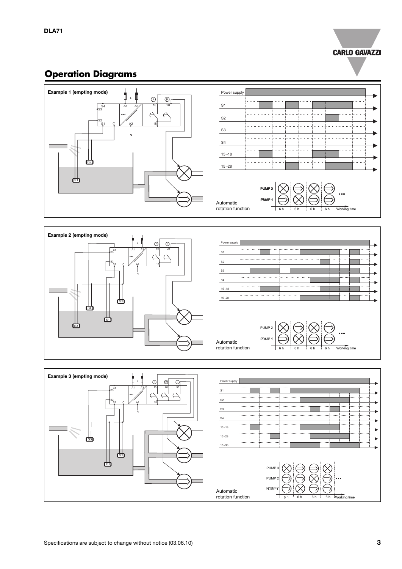### **CARLO GAVAZZI**

# **Operation Diagrams**





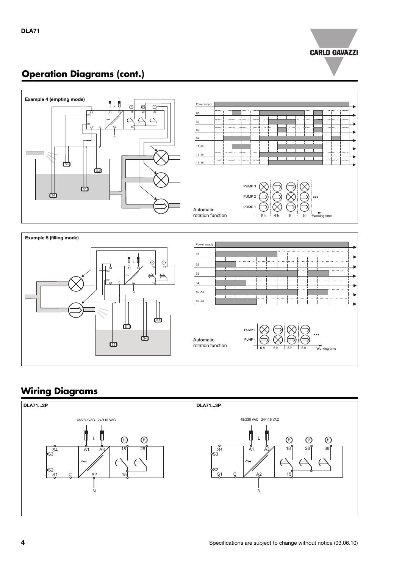

# **Operation Diagrams (cont.)**



# **Wiring Diagrams**